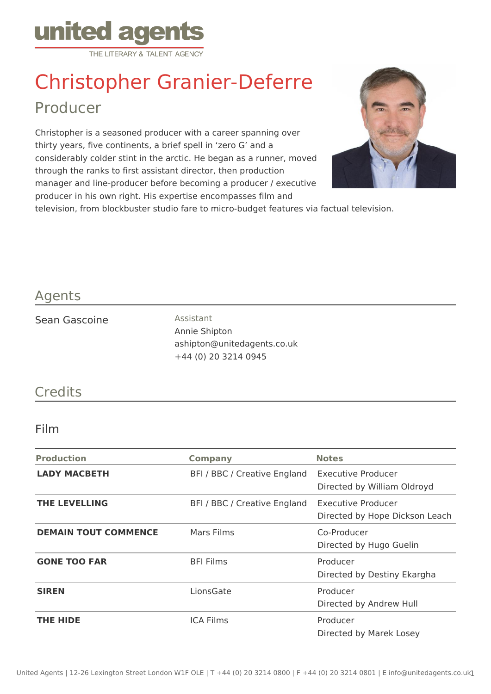

# Christopher Granier-Deferre Producer

Christopher is a seasoned producer with a career spanning over thirty years, five continents, a brief spell in 'zero G' and a considerably colder stint in the arctic. He began as a runner, moved through the ranks to first assistant director, then production manager and line-producer before becoming a producer / executive producer in his own right. His expertise encompasses film and



television, from blockbuster studio fare to micro-budget features via factual television.

## Agents

#### Sean Gascoine **Assistant**

Annie Shipton ashipton@unitedagents.co.uk +44 (0) 20 3214 0945

# **Credits**

### Film

| <b>Production</b>           | <b>Company</b>               | <b>Notes</b>                                         |
|-----------------------------|------------------------------|------------------------------------------------------|
| <b>LADY MACBETH</b>         | BFI / BBC / Creative England | Executive Producer<br>Directed by William Oldroyd    |
| <b>THE LEVELLING</b>        | BFI / BBC / Creative England | Executive Producer<br>Directed by Hope Dickson Leach |
| <b>DEMAIN TOUT COMMENCE</b> | Mars Films                   | Co-Producer<br>Directed by Hugo Guelin               |
| <b>GONE TOO FAR</b>         | <b>BFI Films</b>             | Producer<br>Directed by Destiny Ekargha              |
| <b>SIREN</b>                | LionsGate                    | Producer<br>Directed by Andrew Hull                  |
| <b>THE HIDE</b>             | <b>ICA Films</b>             | Producer<br>Directed by Marek Losey                  |